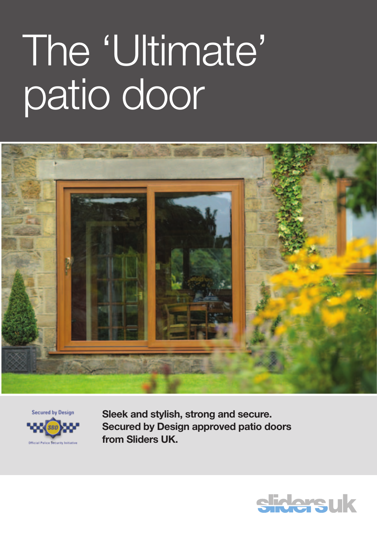# The 'Ultimate' patio door





**Sleek and stylish, strong and secure. Secured by Design approved patio doors from Sliders UK.**

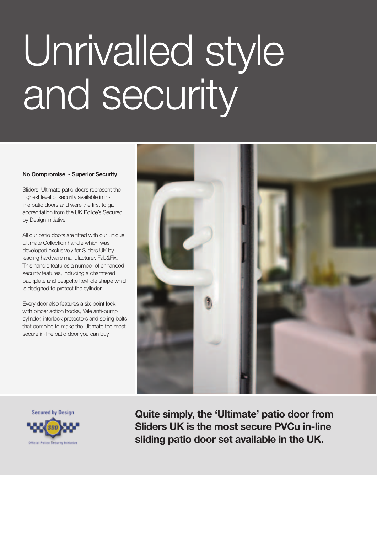# Unrivalled style and security

## **No Compromise - Superior Security**

Sliders' Ultimate patio doors represent the highest level of security available in inline patio doors and were the first to gain accreditation from the UK Police's Secured by Design initiative.

All our patio doors are fitted with our unique Ultimate Collection handle which was developed exclusively for Sliders UK by leading hardware manufacturer, Fab&Fix. This handle features a number of enhanced security features, including a chamfered backplate and bespoke keyhole shape which is designed to protect the cylinder.

Every door also features a six-point lock with pincer action hooks, Yale anti-bump cylinder, interlock protectors and spring bolts that combine to make the Ultimate the most secure in-line patio door you can buy.





**Quite simply, the 'Ultimate' patio door from Sliders UK is the most secure PVCu in-line sliding patio door set available in the UK.**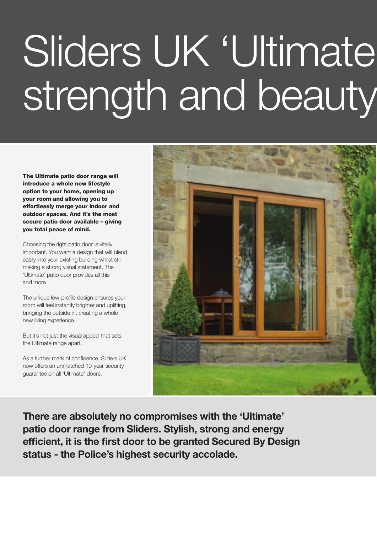# Sliders UK 'Ultimate strength and beauty

The Ultimate patio door range will introduce a whole new lifestyle option to your home, opening up your room and allowing you to effortlessly merge your indoor and outdoor spaces. And it's the most secure patio door available - giving you total peace of mind.

Choosing the right patio door is vitally important. You want a design that will blend easily into your existing building whilst still making a strong visual statement. The 'Ultimate' patio door provides all this and more.

The unique low-profile design ensures your room will feel instantly brighter and uplifting, bringing the outside in, creating a whole new living experience.

But it's not just the visual appeal that sets the Ultimate range apart.

As a further mark of confidence, Sliders UK now offers an unmatched 10-year security guarantee on all 'Ultimate' doors.



**There are absolutely no compromises with the 'Ultimate' patio door range from Sliders. Stylish, strong and energy efficient, it is the first door to be granted Secured By Design status - the Police's highest security accolade.**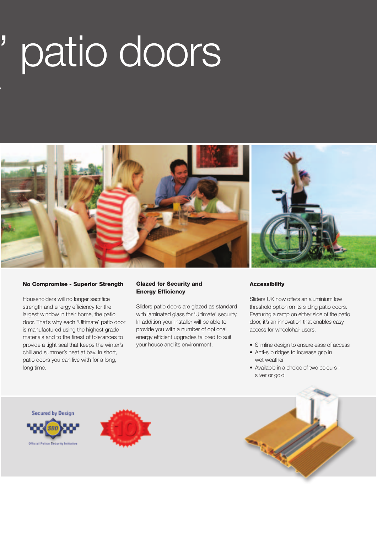# ' patio doors



## No Compromise - Superior Strength

strength and beauty

Householders will no longer sacrifice strength and energy efficiency for the largest window in their home, the patio door. That's why each 'Ultimate' patio door is manufactured using the highest grade materials and to the finest of tolerances to provide a tight seal that keeps the winter's chill and summer's heat at bay. In short, patio doors you can live with for a long, long time.

## Glazed for Security and Energy Efficiency

Sliders patio doors are glazed as standard with laminated glass for 'Ultimate' security. In addition your installer will be able to provide you with a number of optional energy efficient upgrades tailored to suit your house and its environment.

# **Accessibility**

Sliders UK now offers an aluminium low threshold option on its sliding patio doors. Featuring a ramp on either side of the patio door, it's an innovation that enables easy access for wheelchair users.

- Slimline design to ensure ease of access
- Anti-slip ridges to increase grip in wet weather
- • Available in a choice of two colours silver or gold

Secured by Design



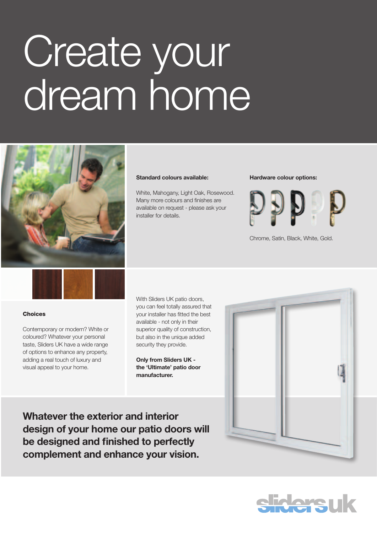# Create your dream home



## **Standard colours available:**

White, Mahogany, Light Oak, Rosewood. Many more colours and finishes are available on request - please ask your installer for details.

### **Hardware colour options:**



Chrome, Satin, Black, White, Gold.



## **Choices**

Contemporary or modern? White or coloured? Whatever your personal taste, Sliders UK have a wide range of options to enhance any property, adding a real touch of luxury and visual appeal to your home.

With Sliders UK patio doors, you can feel totally assured that your installer has fitted the best available - not only in their superior quality of construction, but also in the unique added security they provide.

**Only from Sliders UK the 'Ultimate' patio door manufacturer.** 



**Whatever the exterior and interior design of your home our patio doors will be designed and finished to perfectly complement and enhance your vision.**